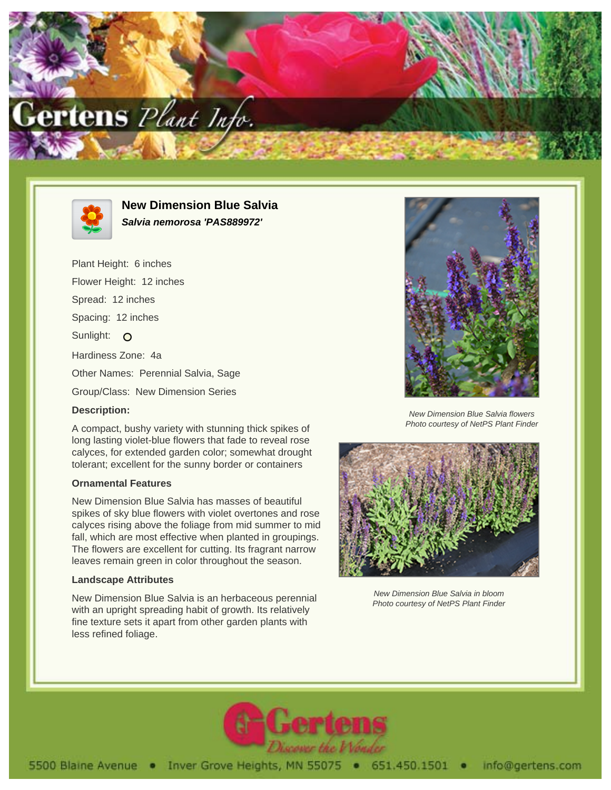



**New Dimension Blue Salvia Salvia nemorosa 'PAS889972'**

Plant Height: 6 inches Flower Height: 12 inches Spread: 12 inches Spacing: 12 inches Sunlight: O Hardiness Zone: 4a Other Names: Perennial Salvia, Sage

Group/Class: New Dimension Series

## **Description:**

A compact, bushy variety with stunning thick spikes of long lasting violet-blue flowers that fade to reveal rose calyces, for extended garden color; somewhat drought tolerant; excellent for the sunny border or containers

## **Ornamental Features**

New Dimension Blue Salvia has masses of beautiful spikes of sky blue flowers with violet overtones and rose calyces rising above the foliage from mid summer to mid fall, which are most effective when planted in groupings. The flowers are excellent for cutting. Its fragrant narrow leaves remain green in color throughout the season.

## **Landscape Attributes**

New Dimension Blue Salvia is an herbaceous perennial with an upright spreading habit of growth. Its relatively fine texture sets it apart from other garden plants with less refined foliage.



New Dimension Blue Salvia flowers Photo courtesy of NetPS Plant Finder



New Dimension Blue Salvia in bloom Photo courtesy of NetPS Plant Finder